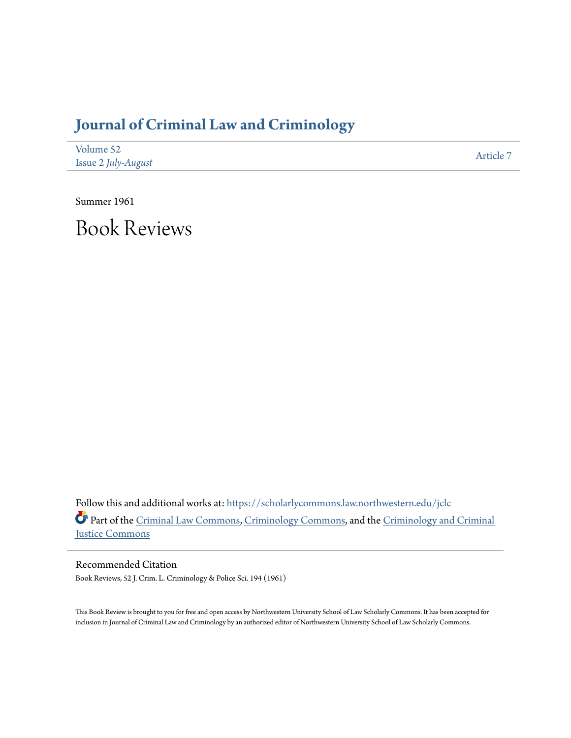## **[Journal of Criminal Law and Criminology](https://scholarlycommons.law.northwestern.edu/jclc?utm_source=scholarlycommons.law.northwestern.edu%2Fjclc%2Fvol52%2Fiss2%2F7&utm_medium=PDF&utm_campaign=PDFCoverPages)**

| Volume 52           | Article 7 |
|---------------------|-----------|
| Issue 2 July-August |           |

Summer 1961

Book Reviews

Follow this and additional works at: [https://scholarlycommons.law.northwestern.edu/jclc](https://scholarlycommons.law.northwestern.edu/jclc?utm_source=scholarlycommons.law.northwestern.edu%2Fjclc%2Fvol52%2Fiss2%2F7&utm_medium=PDF&utm_campaign=PDFCoverPages) Part of the [Criminal Law Commons](http://network.bepress.com/hgg/discipline/912?utm_source=scholarlycommons.law.northwestern.edu%2Fjclc%2Fvol52%2Fiss2%2F7&utm_medium=PDF&utm_campaign=PDFCoverPages), [Criminology Commons](http://network.bepress.com/hgg/discipline/417?utm_source=scholarlycommons.law.northwestern.edu%2Fjclc%2Fvol52%2Fiss2%2F7&utm_medium=PDF&utm_campaign=PDFCoverPages), and the [Criminology and Criminal](http://network.bepress.com/hgg/discipline/367?utm_source=scholarlycommons.law.northwestern.edu%2Fjclc%2Fvol52%2Fiss2%2F7&utm_medium=PDF&utm_campaign=PDFCoverPages) [Justice Commons](http://network.bepress.com/hgg/discipline/367?utm_source=scholarlycommons.law.northwestern.edu%2Fjclc%2Fvol52%2Fiss2%2F7&utm_medium=PDF&utm_campaign=PDFCoverPages)

Recommended Citation Book Reviews, 52 J. Crim. L. Criminology & Police Sci. 194 (1961)

This Book Review is brought to you for free and open access by Northwestern University School of Law Scholarly Commons. It has been accepted for inclusion in Journal of Criminal Law and Criminology by an authorized editor of Northwestern University School of Law Scholarly Commons.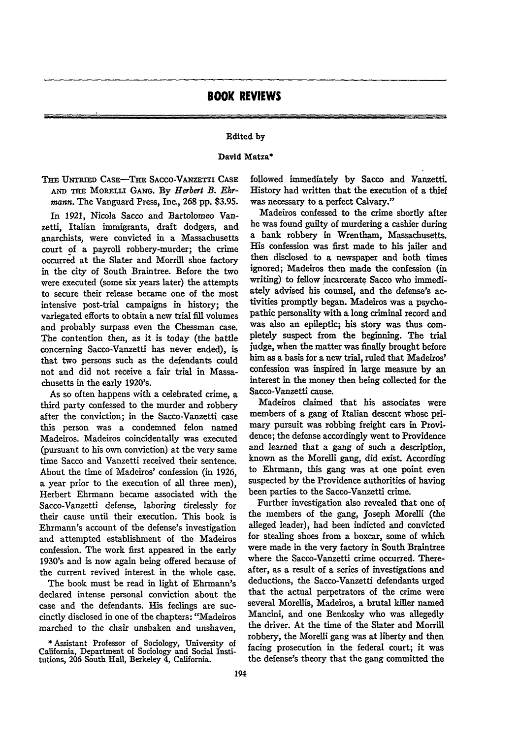## Edited **by**

## David Matza\*

**THE** UNTRIED CAsE-THE SACCO-VANZETI **CASE AND** THE MORELLI **GANG.** By *Herbert B. Ehrmann.* The Vanguard Press, Inc., **268** pp. \$3.95.

In 1921, Nicola Sacco and Bartolomeo Vanzetti, Italian immigrants, draft dodgers, and anarchists, were convicted in a Massachusetts court of a payroll robbery-murder; the crime occurred at the Slater and Morrill shoe factory in the city of South Braintree. Before the two were executed (some six years later) the attempts to secure their release became one of the most intensive post-trial campaigns in history; the variegated efforts to obtain a new trial **fill** volumes and probably surpass even the Chessman case. The contention then, as it is today (the battle concerning Sacco-Vanzetti has never ended), is that two persons such as the defendants could not and did not receive a fair trial in Massachusetts in the early 1920's.

As so often happens with a celebrated crime, a third party confessed to the murder and robbery after the conviction; in the Sacco-Vanzetti case this person was a condemned felon named Madeiros. Madeiros coincidentally was executed (pursuant to his own conviction) at the very same time Sacco and Vanzetti received their sentence. About the time of Madeiros' confession (in **1926,** a year prior to the execution of all three men), Herbert Ehrmann became associated with the Sacco-Vanzetti defense, laboring tirelessly for their cause until their execution. This book is Ehrmann's account of the defense's investigation and attempted establishment of the Madeiros confession. The work first appeared in the early 1930's and is now again being offered because of the current revived interest in the whole case.

The book must be read in light of Ehrmann's declared intense personal conviction about the case and the defendants. His feelings are succinctly disclosed in one of the chapters: "Madeiros marched to the chair unshaken and unshaven,

**\*** Assistant Professor of Sociology, University **of** California, Department of Sociology and Social Insti-tutions, **206** South Hall, Berkeley **4,** California.

followed immediately by Sacco and Vanzetti. History had written that the execution of a thief was necessary to a perfect Calvary."

**I I I** .. .. .

Madeiros confessed to the crime shortly after he was found guilty of murdering a cashier during a bank robbery in Wrentham, Massachusetts. His confession was first made to his jailer and then disclosed to a newspaper and both times ignored; Madeiros then made the confession (in writing) to fellow incarcerate Sacco who immediately advised his counsel, and the defense's activities promptly began. Madeiros was a psychopathic personality with a long criminal record and was also an epileptic; his story was thus completely suspect from the beginning. The trial judge, when the matter was finally brought before him as a basis for a new trial, ruled that Madeiros' confession was inspired in large measure **by** an interest in the money then being collected for the Sacco-Vanzetti cause.

Madeiros claimed that his associates were members of a gang of Italian descent whose primary pursuit was robbing freight cars in Providence; the defense accordingly went to Providence and learned that a gang of such a description, known as the Morelli gang, did exist. According to Ehrmann, this gang was at one point even suspected by the Providence authorities of having been parties to the Sacco-Vanzetti crime.

Further investigation also revealed that one of the members of the gang, Joseph Morelli (the alleged leader), had been indicted and convicted for stealing shoes from a boxcar, some of which were made in the very factory in South Braintree where the Sacco-Vanzetti crime occurred. Thereafter, as a result of a series of investigations and deductions, the Sacco-Vanzetti defendants urged that the actual perpetrators of the crime were several Morellis, Madeiros, a brutal killer named Mancini, and one Benkosky who was allegedly the driver. At the time of the Slater and Morrill robbery, the Morelli gang was at liberty and then facing prosecution in the federal court; it was the defense's theory that the gang committed the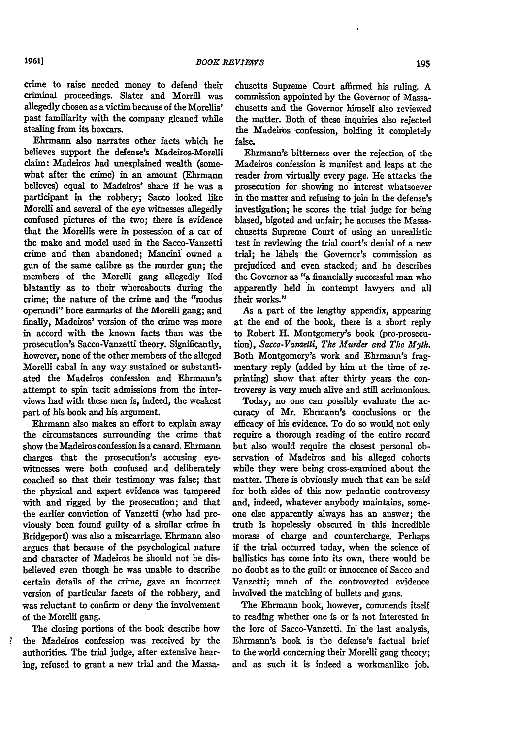crime to raise needed money to defend their criminal proceedings. Slater and Morrill was allegedly chosen as a victim because of the Morellis' past familiarity with the company gleaned while stealing from its boxcars.

Ehrmann also narrates other facts which he believes support the defense's Madeiros-Morelli claim: Madeiros had unexplained wealth (somewhat after the crime) in an amount (Ehrmann believes) equal to Madeiros' share **if** he was a participant **in** the robbery; Sacco looked like Morelli and several of the eye witnesses allegedly confused pictures of the two; there is evidence that the Morellis were in possession of a car of the make and model used in the Sacco-Vanzetti crime and then abandoned; Mancini owned a **gun** of the same calibre as the murder gun; the members of the Morelli gang allegedly lied blatantly as to their whereabouts during the crime; the nature of the crime and the "modus operandi" bore earmarks of the Morelli gang; and finally, Madeiros' version of the crime was more in accord with the known facts than was the prosecution's Sacco-Vanzetti theory. Significantly, however, none of the other members of the alleged Morelli cabal in any way sustained or substantiated the Madeiros confession and Ehrmann's attempt to spin tacit admissions from the interviews had with these men is, indeed, the weakest part of his book and his argument.

Ehrmann also makes an effort to explain away the circumstances surrounding the crime that show the Madeiros confession is a canard. Ehrmann charges that the prosecution's accusing eyewitnesses were both confused and deliberately coached so that their testimony was false; that the physical and expert evidence was tampered with and rigged **by** the prosecution; and that the earlier conviction of Vanzetti (who had previously been found guilty of a similar crime in Bridgeport) was also a miscarriage. Ehrmann also argues that because of the psychological nature and character of Madeiros he ihould not be disbelieved even though he was unable to describe certain details of the crime, gave an incorrect version of particular facets of the robbery, and was reluctant to confirm or deny the involvement of the Morelli gang.

The closing portions of the book describe how the Madeiros confession was received **by** the authorities. The trial judge, after extensive hearing, refused to grant a new trial and the Massa-

Ţ

chusetts Supreme Court affirmed his ruling. A commission appointed **by** the Governor of Massachusetts and the Governor himself also reviewed the matter. Both of these inquiries also rejected the Madeiros -confession, holding it completely false.

Ehrmann's bitterness over the rejection of the Madeiros confession is manifest and leaps at the reader from virtually every page. He attacks the prosecution for showing no interest whatsoever in the matter and refusing to join in the defense's investigation; he scores the trial judge for being biased, bigoted and unfair; he accuses the Massachusetts Supreme Court of using an unrealistic test in reviewing the trial court's denial of a new trial; he labels the Governor's commission as prejudiced and evei stacked; and he describes the Governor as "a financially successful man who apparently held in contempt lawyers and all their works."

As a part of the lengthy appendix, appearing at the end of the book, there is a short reply to Robert **H.** Montgomery's book (pro-prosecution), *Sacco-Vanzeti, The Murder and The Myth.* Both Montgomery's work and Ehrmann's fragmentary reply (added by him at the time of reprinting) show that after thirty years the controversy is very much alive and still acrimonious.

Today, no one can possibly evaluate the accuracy of Mr. Ehrmann's conclusions or the efficacy of his evidence. To do so would, not only require a thorough reading of the entire record but also would require the closest personal observation of Madeiros and his alleged cohorts while they were being cross-examined about the matter. There is obviously much that can be said for both sides of this now pedantic controversy and, indeed, whatever anybody maintains, someone else apparently always has an answer; the truth is hopelessly obscured in this incredible morass of charge and countercharge. Perhaps **if** the trial occurred today, when the science of ballistics has come into its own, there would be no doubt as to the guilt or innocence of Sacco and Vanzetti; much of the controverted evidence involved the matching of bullets and guns.

The Ehrmann book, however, commends itself to reading whether one is or is not interested in the lore of Sacco-Vanzetti. In" the last analysis, Ehrmann's book is the defense's factual brief to the world concerning their Morelli gang theory; and as such it is indeed a workmanlike job.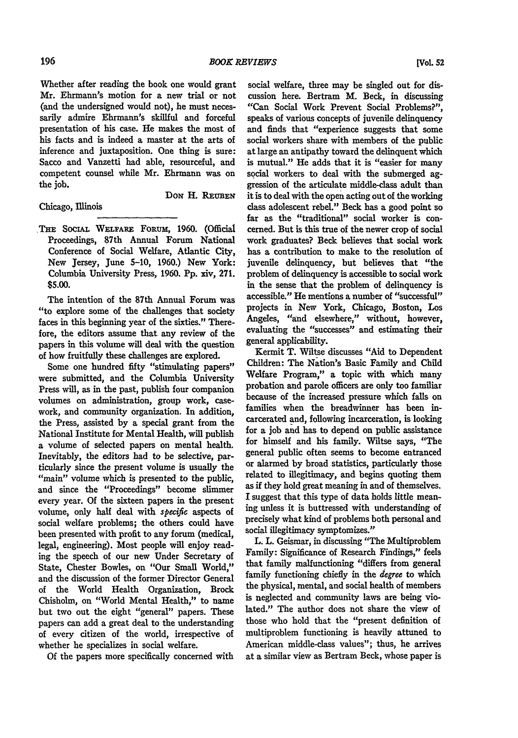Whether after reading the book one would grant Mr. Ehrmann's motion for a new trial or not (and the undersigned would not), he must necessarily admire Ehrmann's skillful and forceful presentation of his case. He makes the most of his facts and is indeed a master at the arts of inference and juxtaposition. One thing is sure: Sacco and Vanzetti had able, resourceful, and competent counsel while Mr. Ehrmann was on the **job.**

Chicago, Illinois

DON H. REUBEN

THE SOCIAL WELFARE FORUM, 1960. (Official Proceedings, 87th Annual Forum National Conference of Social Welfare, Atlantic City, New Jersey, June **5-10,** 1960.) New York: Columbia University Press, **1960. Pp.** xiv, **271.** \$5.00.

The intention of the 87th Annual Forum was "to explore some of the challenges that society faces in this beginning year of the sixties." Therefore, the editors assume that any review of the papers in this volume will deal with the question of how fruitfully these challenges are explored.

Some one hundred fifty "stimulating papers" were submitted, and the Columbia University Press will, as in the past, publish four companion volumes on administration, group work, casework, and community organization. In addition, the Press, assisted by a special grant from the National Institute for Mental Health, will publish a volume of selected papers on mental health. Inevitably, the editors had to be selective, particularly since the present volume is usually the "main" volume which is presented to the public, and since the "Proceedings" become slimmer every year. Of the sixteen papers in the present volume, only half deal with *specific* aspects of social welfare problems; the others could have been presented with profit to any forum (medical, legal, engineering). Most people will enjoy reading the speech of our new Under Secretary of State, Chester Bowles, on "Our Small World," and the discussion of the former Director General of the World Health Organization, Brock Chisholm, on "World Mental Health," to name but two out the eight "general" papers. These papers can add a great deal to the understanding of every citizen of the world, irrespective of whether he specializes in social welfare.

Of the papers more specifically concerned with

social welfare, three may be singled out for discussion here. Bertram M. Beck, in discussing "Can Social Work Prevent Social Problems?", speaks of various concepts of juvenile delinquency and finds that "experience suggests that some social workers share with members of the public at large an antipathy toward the delinquent which is mutual." He adds that it is "easier for many social workers to deal with the submerged aggression of the articulate middle-class adult than it is to deal with the open acting out of the working class adolescent rebel." Beck has a good point so far as the "traditional" social worker is concerned. But is this true of the newer crop of social work graduates? Beck believes that social work has a contribution to make to the resolution of juvenile delinquency, but believes that "the problem of delinquency is accessible to social work in the sense that the problem of delinquency is accessible." He mentions a number of "successful" projects in New York, Chicago, Boston, Los Angeles, "and elsewhere," without, however, evaluating the "successes" and estimating their general applicability.

Kermit T. Wiltse discusses "Aid to Dependent Children: The Nation's Basic Family and Child Welfare Program," a topic with which many probation and parole officers are only too familiar because of the increased pressure which falls on families when the breadwinner has been incarcerated and, following incarceration, is looking for a job and has to depend on public assistance for himself and his family. Wiltse says, "The general public often seems to become entranced or alarmed **by** broad statistics, particularly those related to illegitimacy, and begins quoting them as if they hold great meaning in and of themselves. **I** suggest that this type of data holds little meaning unless it is buttressed with understanding of precisely what kind of problems both personal and social illegitimacy symptomizes."

L. L. Geismar, in discussing "The Multiproblem Family: Significance of Research Findings," feels that family malfunctioning "differs from general family functioning chiefly in the *degree* to which the physical, mental, and social health of members is neglected and community laws are being violated." The author does not share the view of those who hold that the "present definition of multiproblem functioning is heavily attuned to American middle-class values"; thus, he arrives at a similar view as Bertram Beck, whose paper is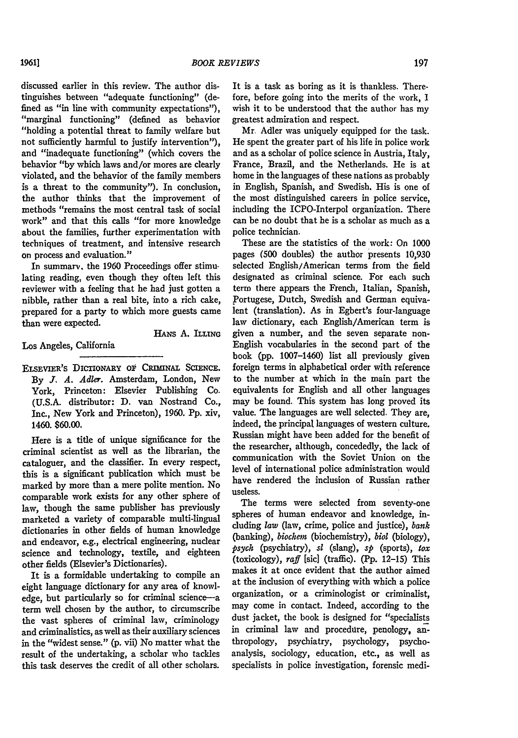discussed earlier in this review. The author distinguishes between "adequate functioning" (defined as "in line with community expectations"), "marginal functioning" (defined as behavior "holding a potential threat to family welfare but not sufficiently harmful to justify intervention"), and "inadequate functioning" (which covers the behavior "by which laws and/or mores are clearly violated, and the behavior of the family members is a threat to the community"). In conclusion, the author thinks that the improvement of methods "remains the most central task of social work" and that this calls "for more knowledge about the families, further experimentation with techniques of treatment, and intensive research on process and evaluation."

In summary, the 1960 Proceedings offer stimulating reading, even though they often left this reviewer with a feeling that he had just gotten a nibble, rather than a real bite, into a rich cake, prepared for a party to which more guests came than were expected.

HANs A. **ILLiNG**

## Los Angeles, California

ELSEVIER'S DIcTIONARY **OiF CRIMINAL SCIENCE. By** *J. A. Adler.* Amsterdam, London, New York, Princeton: Elsevier Publishing Co. **(U.S.A.** distributor: **D.** van Nostrand Co., Inc., New York and Princeton), **1960. Pp.** xiv, 1460. **\$60.00.**

Here is a title of unique significance for the criminal scientist as well as the librarian, the cataloguer, and the classifier. In every respect, this is a significant publication which must be marked by more than a mere polite mention. No comparable work exists for any other sphere of law, though the same publisher has previously marketed a variety of comparable multi-lingual dictionaries in other fields of human knowledge and endeavor, e.g., electrical engineering, nuclear science and technology, textile, and eighteen other fields (Elsevier's Dictionaries).

It is a formidable undertaking to compile an eight language dictionary for any area of knowledge, but particularly so for criminal science--a term well chosen by the author, to circumscribe the vast spheres of criminal law, criminology and criminalistics, as well as their auxiliary sciences in the "widest sense." (p. vii) No matter what the result of the undertaking, a scholar who tackles this task deserves the credit of all other scholars.

It is a task as boring as it is thankless. Therefore, before going into the merits of the work, I wish it to be understood that the author has my greatest admiration and respect.

Mr. Adler was uniquely equipped for the task. He spent the greater part of his life in police work and as a scholar of police science in Austria, Italy, France, Brazil, and the Netherlands. He is at home in the languages of these nations as probably in English, Spanish, and Swedish. His is one of the most distinguished careers in police service, including the ICPO-Interpol organization. There can be no doubt that he is a scholar as much as a police technician.

These are the statistics of the work: On 1000 pages (500 doubles) the author presents 10,930 selected English/American terms from the field designated as criminal science. For each such term there appears the French, Italian, Spanish, Portugese, Dutch, Swedish and German equivalent (translation). As in Egbert's four-language law dictionary, each English/American term is given a number, and the seven separate non-English vocabularies in the second part of the book **(pp.** 1007-1460) list all previously given foreign terms in alphabetical order with reference to the number at which in the main part the equivalents for English and all other languages may be found. This system has long proved its value. The languages are well selected. They are, indeed, the principal languages of western culture. Russian might have been added for the benefit of the researcher, although, concededly, the lack of communication with the Soviet Union on the level of international police administration would have rendered the inclusion of Russian rather useless.

The terms were selected from seventy-one spheres of human endeavor and knowledge, including *law* (law, crime, police and justice), *bank* (banking), *biochem* (biochemistry), *biol* (biology), *psych* (psychiatry), sl (slang), *sp* (sports), *fox* (toxicology), *raff* [sic] (traffic). (Pp. 12-15) This makes it at once evident that the author aimed at the inclusion of everything with which a police organization, or a criminologist or criminalist, may come in contact. Indeed, according to the dust jacket, the book is designed for "specialists in criminal law and procedure, penology, anthropology, psychiatry, psychology, psychoanalysis, sociology, education, etc., as well as specialists in police investigation, forensic medi-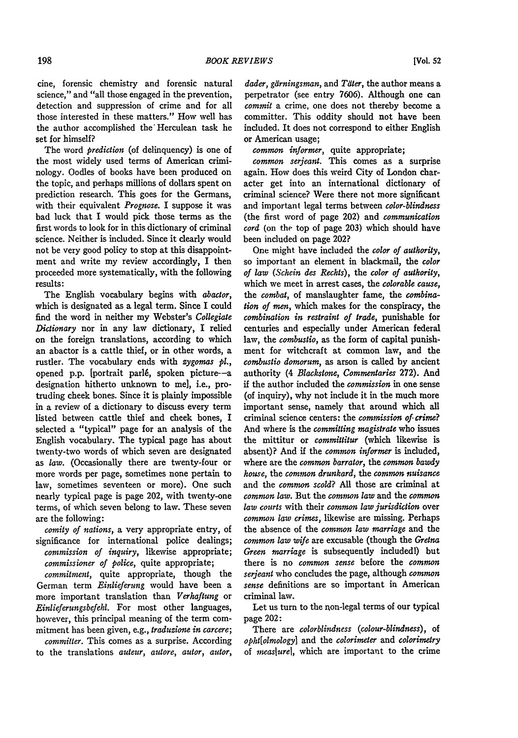cine, forensic chemistry and forensic natural science," and "all those engaged in the prevention, detection and suppression of crime and for all those interested in these matters." How well has the author accomplished the'Herculean task he set for himself?

The word *prediction* (of delinquency) is one of the most widely used terms of American criminology. Oodles of books have been produced on the topic, and perhaps millions of dollars spent on prediction research. This goes for the Germans, with their equivalent *Prognose.* I suppose it was bad luck that I would pick those terms as the first words to look for in this dictionary of criminal science. Neither is included. Since it clearly would not be very good policy to stop at this disappointment and write my review accordingly, I then proceeded more systematically, with the following results:

The English vocabulary begins with *abactor*, which is designated as a legal term. Since I could find the word in neither my Webster's *Collegiate Dictionary* nor in any law dictionary, I relied on the foreign translations, according to which an abactor is a cattle thief, or in other words, a rustler. The vocabulary ends with *zygomas* pl., opened p.p. [portrait parlé, spoken picture--a designation hitherto unknown to me], i.e., protruding cheek bones. Since it is plainly impossible in a review of a dictionary to discuss every term listed between cattle thief and cheek bones, I selected a "typical" page for an analysis of the English vocabulary. The typical page has about twenty-two words of which seven are designated as law. (Occasionally there are twenty-four or more words per page, sometimes none pertain to law, sometimes seventeen or more). One such nearly typical page is page 202, with twenty-one terms, of which seven belong to law. These seven are the following:

*comity of nations,* a very appropriate entry, of significance for international police dealings; *commission of inquiry,* likewise appropriate; *commissioner of police,* quite appropriate;

*commitment,* quite appropriate, though the German term *Einlieferung* would have been a more important translation than *Verhaftung* or *Einlieferungsbefehl.* For most other languages, however, this principal meaning of the term commitment has been given, e.g., *traduzione in carcere;*

*committer.* This comes as a surprise. According to the translations *auteur, autore, autor, autor,*

*dader, gdrningsman,* and *Titter,* the author means a perpetrator (see entry 7606). Although one can *commit* a crime, one does not thereby become a committer. This oddity should not have been included. It does not correspond to either English or American usage;

*common informer,* quite appropriate;

*common serjeat.* This comes as a surprise again. How does this weird City of London character get into an international dictionary of criminal science? Were there not more significant and important legal terms between *color-blindness* (the first word of page 202) and *communication cord* (on the top of page 203) which should have been included on page 202?

One might have included the *color of authority,* so important an element in blackmail, the *color of law (Schein des Rechts),* the *color of authority,* which we meet in arrest cases, the *colorable cause,* the *combat,* of manslaughter fame, the *combination of men,* which makes for the conspiracy, the *combination in restraint of trade,* punishable for centuries and especially under American federal law, the *combustio,* as the form of capital punishment for witchcraft at common law, and the *combustio domorum,* as arson is called **by** ancient authority (4 *Blackstone, Commentaries* **272).** And if the author included the *commission* in one sense (of inquiry), why not include it in the much more important sense, namely that around which all criminal science centers: the *commission of. crime?* And where is the *committing magistrate* who issues the mittitur or *committitur* (which likewise is absent)? And if the *common informer* is included, where are the *common barrator, the common bawdy house,* the *common drunkard, the common nuisance* and the *common scold?* **All** those are criminal at *common law.* But the *common law* and the *common law courts* with their *common law jurisdiction* over *common law crimes,* likewise are missing. Perhaps the absence of the *common law marriage* and the *common law wife* are excusable (though the *Gretna Green marriage* is subsequently included!) but there is no *common sense* before the *common serjeant* who concludes the page, although *common sense* definitions are so important in American criminal law.

Let us turn to the non-legal terms of our typical page 202:

There are *colorblindness (colour-blindness),* of *opht[olmology]* and the *colorimeter* and *colorimetry* of *measjurel,* which are important to the crime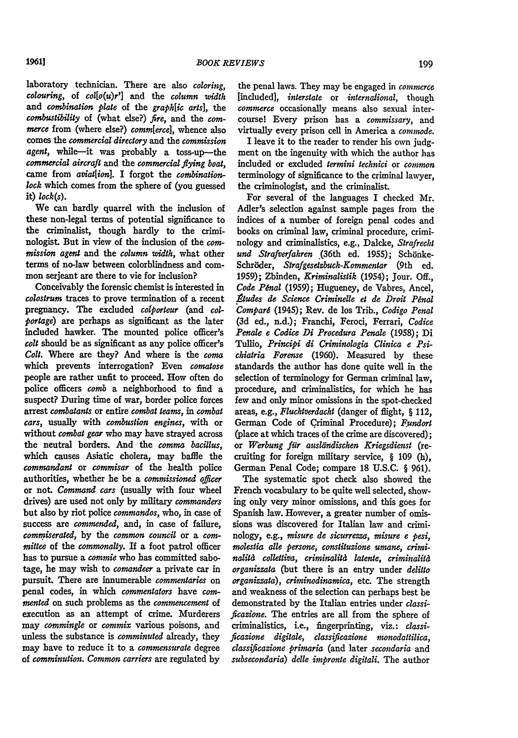laboratory technician. There are also *coloring, colouring,* of *col[o(u)r']* and the *column width* and *combination plate* of the *graph[ic arts],* the *combustibility* of (what else?) *fire,* and the *commerce* from (where else?) comm[ercel, whence also comes the *commercial directory* and the *commission agent*, while-it was probably a toss-up-the *commercial aircraft* and the *commercial flying boat,* came from *aviatlion].* I forgot the *combinationlock* which comes from the sphere of (you guessed it) *lock(s).*

We can hardly quarrel with the inclusion of these non-legal terms of potential significance to the criminalist, though hardly to the criminologist. But in view of the inclusion of the *commission agent* and the *column width,* what other terms of no-law between colorblindness and common serjeant are there to vie for inclusion?

Conceivably the forensic chemist is interested in *colostrum* traces to prove termination of a recent pregnancy. The excluded *colporteur* (and *colportage)* are perhaps as significant as the later included hawker. The mounted police officer's *colt* should be as significant as any police officer's *Colt.* Where are they? And where is the *coma* which prevents interrogation? Even *comatose* people are rather unfit to proceed. How often do police officers *comb* a neighborhood to find a suspect? During time of war, border police forces arrest *combatants* or entire *combat teams, in combat cars,* usually with *combustion engines,* with or without *combat gear* who may have strayed across the neutral borders. And the *comma bacillus,* which causes Asiatic cholera, may baffle the *commandant* or *commisar* of the health police authorities, whether he be a *commissioned officer* or not. *Command cars* (usually with four wheel drives) are used not only **by** military *commanders* but also **by** riot police *commandos,* who, in case of success are *commended,* and, in case of failure, *commiserated,* **by** the *common council* or a *committee* of the *commonalty.* If a foot patrol officer has to pursue a *commie* who has committed sabotage, he may wish to *comandeer* a private car in pursuit. There are innumerable *commentaries* on penal codes, in which *commentators* have *commnented* on such problems as the *commencement* of execution as an attempt of crime. Murderers may *commingle* or *commix* various poisons, and unless the substance is *comminuted* already, they may have to reduce it to a *commensurate* degree of *comminution. Common carriers* are regulated **by**

the penal laws. They may be engaged in *commerce* [included], *interstate* or *internalional,* though *commerce* occasionally means also sexual intercourse! Every prison has a *commissary,* and virtually every prison cell in America a *commode.*

I leave it to the reader to render his own judgment on the ingenuity with which the author has included or excluded *termini technici* or *common* terminology of significance to the criminal lawyer, the criminologist, and the criminalist.

For several of the languages I checked Mr. Adler's selection against sample pages from the indices of a number of foreign penal codes and books on criminal law, criminal procedure, criminology and criminalistics, e.g., Dalcke, *Strafrecht* und Strafverfahren (36th ed. 1955); Schönke-Schrader, *Strafgeselzbuch-Kommentar* (9th ed. 1959); Zbinden, *Kriminalistik* (1954); Jour. Off., *Code P&al* (1959); Hugueney, de Vabres, Ancel, *tudes de Science Criminelle el de Droit Paal Comparg* (1945); Rev. de los Trib., *Codigo Penal* (3d ed., n.d.); Franchi, Feroci, Ferrari, *Codice Penae e Codice Di Procedura Penale* **(1958);** Di Tullio, *Principi di Criminologia Clinica e Psichiatria Forense* **(1960).** Measured **by** these standards the author has done quite well in the selection of terminology for German criminal law, procedure, and criminalistics, for which he has few and only minor omissions in the spot-checked areas, e.g., *Fluchtverdacht* (danger of flight, § 112, German Code of Criminal Procedure); *Fundort* (place at which traces of the crime are discovered); or *Werbung fur auslitndischen Kriegsdienst* (recruiting for foreign military service, § 109 (h), German Penal Code; compare 18 U.S.C. § 961).

The systematic spot check also showed the French vocabulary to be quite well selected, showing only very minor omissions, and this goes for Spanish law. However, a greater number of omissions was discovered for Italian law and criminology, e.g., *misure de sicurrezza, misure e pesi, molestia alle persone, constituzione umane, crimi- -nalitd collettiva, criminalia latente, criminalita organizzata* (but there is an entry under *delitto organizzata), criminodinamica,* etc. The strength and weakness of the selection can perhaps best be demonstrated **by** the Italian entries under *classificazione.* The entries are all from the sphere of criminalistics, i.e., fingerprinting, viz.: *classificazione digitale, classificazione nwnodattilica, classificazione primaria* (and later *seccnzdaria* and *subsecondaria) delle impronte digitali.* The author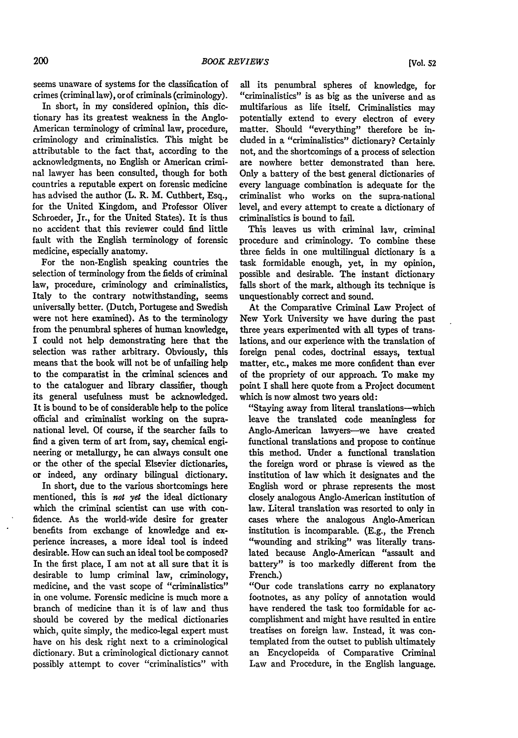seems unaware of systems for the classification of crimes (criminal law), or of criminals (criminology).

In short, in my considered opinion, this dictionary has its greatest weakness in the Anglo-American terminology of criminal law, procedure, criminology and criminalistics. This might be attributable to the fact that, according to the acknowledgments, no English or American criminal lawyer has been consulted, though for both countries a reputable expert on forensic medicine has advised the author (L. R. M. Cuthbert, Esq., for the United Kingdom, and Professor Oliver Schroeder, Jr., for the United States). It is thus no accident that this reviewer could find little fault with the English terminology of forensic medicine, especially anatomy.

For the non-English speaking countries the selection of terminology from the fields of criminal law, procedure, criminology and criminalistics, Italy to the contrary notwithstanding, seems universally better. (Dutch, Portugese and Swedish were not here examined). As to the terminology from the penumbral spheres of human knowledge, I could not help demonstrating here that the selection was rather arbitrary. Obviously, this means that the book will not be of unfailing help to the comparatist in the criminal sciences and to the cataloguer and library classifier, though its general usefulness must be acknowledged. It is bound to be of considerable help to the police official and criminalist working on the supranational level. Of course, if the searcher fails to find a given term of art from, say, chemical engineering or metallurgy, he can always consult one or the other of the special Elsevier dictionaries, or indeed, any ordinary bilingual dictionary.

In short, due to the various shortcomings here mentioned, this is *not yet* the ideal dictionary which the criminal scientist can use with confidence. As the world-wide desire for greater benefits from exchange of knowledge and experience increases, a more ideal tool is indeed desirable. How can such an ideal tool be composed? In the first place, I am not at all sure that it is desirable to lump criminal law, criminology, medicine, and the vast scope of "criminalistics" in one volume. Forensic medicine is much more a branch of medicine than it is of law and thus should be covered by the medical dictionaries which, quite simply, the medico-legal expert must have on his desk right next to a criminological dictionary. But a criminological dictionary cannot possibly attempt to cover "criminalistics" with

all its penumbral spheres of knowledge, for "criminalistics" is as big as the universe and as multifarious as life itself. Criminalistics may potentially extend to every electron of every matter. Should "everything" therefore be included in a "criminalistics" dictionary? Certainly not, and the shortcomings of a process of selection are nowhere better demonstrated than here. Only a battery of the best general dictionaries of every language combination is adequate for the criminalist who works on the supra-national level, and every attempt to create a dictionary of criminalistics is bound to fail.

This leaves us with criminal law, criminal procedure and criminology. To combine these three fields in one multilingual dictionary is a task formidable enough, yet, in my opinion, possible and desirable. The instant dictionary falls short of the mark, although its technique is unquestionably correct and sound.

At the Comparative Criminal Law Project of New York University we have during the past three years experimented with all types of translations, and our experience with the translation of foreign penal codes, doctrinal essays, textual matter, etc., makes me more confident than ever of the propriety of our approach. To make my point I shall here quote from a Project document which is now almost two years old:

"Staying away from literal translations-which leave the translated code meaningless for Anglo-American lawyers-we have created functional translations and propose to continue this method. Under a functional translation the foreign word or phrase is viewed as the institution of law which it designates and the English word or phrase represents the most closely analogous Anglo-American institution of law. Literal translation was resorted to only in cases where the analogous Anglo-American institution is incomparable. (E.g., the French "wounding and striking" was literally translated because Anglo-American "assault and battery" is too markedly different from the French.)

"Our code translations carry no explanatory footnotes, as any policy of annotation would have rendered the task too formidable for accomplishment and might have resulted in entire treatises on foreign law. Instead, it was contemplated from the outset to publish ultimately an Encyclopeida of Comparative Criminal Law and Procedure, in the English language.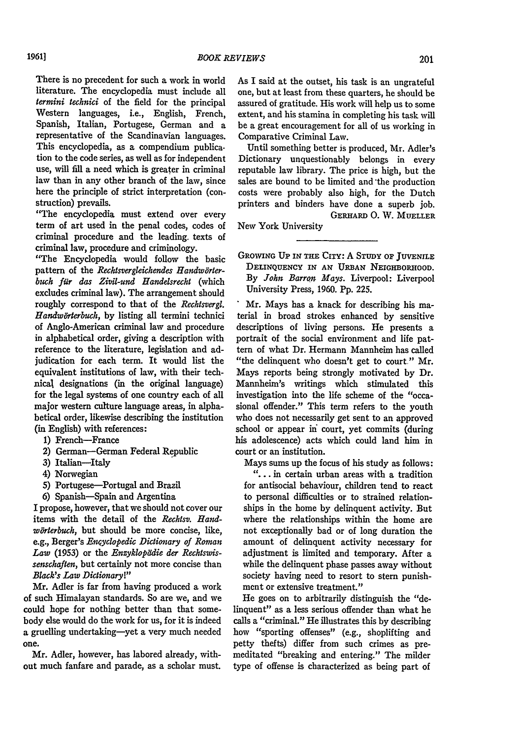There is no precedent for such a work in world literature. The encyclopedia must include all *termini technici* of the field for the principal Western languages, i.e., English, French, Spanish, Italian, Portugese, German and a representative of the Scandinavian languages. This encyclopedia, as a compendium publication to the code series, as well as for independent use, will **fill** a need which is greater in criminal law than in any other branch of the law, since here the principle of strict interpretation (construction) prevails.

"The encyclopedia must extend over every term of art used in the penal codes, codes of criminal procedure and the leading. texts of criminal law, procedure and criminology.

"The Encyclopedia would follow the basic pattern of the *Rechtsvergleichendes Handwörterbuch far das Zivil-und Handeisrecht* (which excludes criminal law). The arrangement should roughly correspond to that of the *Rechtsvergl. Handw~rterbuch,* **by** listing all termini technici of Anglo-American criminal law and procedure in alphabetical order, giving a description with reference to the literature, legislation and adjudication for each term. It would list the equivalent institutions of law, with their technical designations (in the original language) for the legal systems of one country each of all major western culture language areas, in alphabetical order, likewise describing the institution (in English) with references:

- 1) French-France
- 2) German-German Federal Republic
- **3)** Italian-Italy
- 4) Norwegian
- **5)** Portugese-Portugal and Brazil
- **6)** Spanish-Spain and Argentina

I propose, however, that we should not cover our items with the detail of the *Rechtsv. Handwörterbuch*, but should be more concise, like, e.g., Berger's *ERrydopedic Dictionary of Roman Law* (1953) or the *Enzyklopiidie der Rechtswissenschaften,* but certainly not more concise than *Black's Law Dictionary!"*

Mr. Adler is far from having produced a work of such Himalayan standards. So are we, and we could hope for nothing better than that somebody else would do the work for us, for it is indeed a gruelling undertaking-yet a very much needed one.

Mr. Adler, however, has labored already, without much fanfare and parade, as a scholar must. As I said at the outset, his task is an ungrateful one, but at least from these quarters, he should be assured of gratitude. His work will help us to some extent, and his stamina in completing his task will be a great encouragement for all of us working in Comparative Criminal Law.

Until something better is produced, Mr. Adler's Dictionary unquestionably belongs in every reputable law library. The price is high, but the sales are bound to be limited and the production costs were probably also high, for the Dutch printers and binders have done a superb job. GEREARD **0.** W. **MUELLER**

New York University

GROWING **UP** *IN* THE CITY: A **SzUDY OF JUVENILE** DELINQUENCY **IN AN URBAN** NEIGHBORHOOD. **By** *John Barron Mays.* Liverpool: Liverpool University Press, **1960. Pp. 225.**

Mr. Mays has a knack for describing his material in broad strokes enhanced **by** sensitive descriptions of living persons. He presents a portrait of the social environment and life pat**tern** of what Dr. Hermann Mannheim has called "the delinquent who doesn't get to court." Mr. Mays reports being strongly motivated **by** Dr. Mannheim's writings which stimulated this investigation into the life scheme of the "occasional offender." This term refers to the youth who does not necessarily get sent to an approved school or appear in court, yet commits (during his adolescence) acts which could land him in court or an institution.

Mays sums up the focus of his study as follows:

**"...** in certain urban areas with a tradition for antisocial behaviour, children tend to react to personal difficulties or to strained relationships in the home **by** delinquent activity. But where the relationships within the home are not exceptionally bad or of long duration the amount of delinquent activity necessary for adjustment is limited and temporary. After a while the delinquent phase passes away without society having need to resort to stem punishment or extensive treatment."

He goes on to arbitrarily distinguish the "delinquent" as a less serious offender than what he calls a "criminal." He illustrates this by describing how "sporting offenses" (e.g., shoplifting and petty thefts) differ from such crimes as premeditated "breaking and entering." The milder type of offense is characterized as being part of